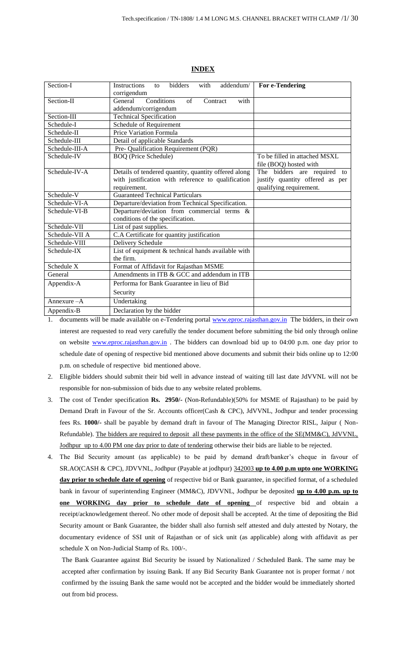| Section-I      | bidders<br><b>Instructions</b><br>with<br>addendum/<br>to<br>corrigendum | For e-Tendering                 |
|----------------|--------------------------------------------------------------------------|---------------------------------|
| Section-II     | Conditions<br>of<br>General<br>with<br>Contract<br>addendum/corrigendum  |                                 |
| Section-III    | <b>Technical Specification</b>                                           |                                 |
| Schedule-I     | Schedule of Requirement                                                  |                                 |
| Schedule-II    | Price Variation Formula                                                  |                                 |
| Schedule-III   | Detail of applicable Standards                                           |                                 |
| Schedule-III-A | Pre- Qualification Requirement (PQR)                                     |                                 |
| Schedule-IV    | <b>BOQ</b> (Price Schedule)                                              | To be filled in attached MSXL   |
|                |                                                                          | file (BOQ) hosted with          |
| Schedule-IV-A  | Details of tendered quantity, quantity offered along                     | The bidders are required to     |
|                | with justification with reference to qualification                       | justify quantity offered as per |
|                | requirement.                                                             | qualifying requirement.         |
| Schedule-V     | <b>Guaranteed Technical Particulars</b>                                  |                                 |
| Schedule-VI-A  | Departure/deviation from Technical Specification.                        |                                 |
| Schedule-VI-B  | Departure/deviation from commercial terms &                              |                                 |
|                | conditions of the specification.                                         |                                 |
| Schedule-VII   | List of past supplies.                                                   |                                 |
| Schedule-VII A | C.A Certificate for quantity justification                               |                                 |
| Schedule-VIII  | Delivery Schedule                                                        |                                 |
| Schedule-IX    | List of equipment & technical hands available with                       |                                 |
|                | the firm.                                                                |                                 |
| Schedule X     | Format of Affidavit for Rajasthan MSME                                   |                                 |
| General        | Amendments in ITB & GCC and addendum in ITB                              |                                 |
| Appendix-A     | Performa for Bank Guarantee in lieu of Bid                               |                                 |
|                | Security                                                                 |                                 |
| Annexure $-A$  | Undertaking                                                              |                                 |
| Appendix-B     | Declaration by the bidder                                                |                                 |

### **INDEX**

1. documents will be made available on e-Tendering portal [www.eproc.rajasthan.gov.in](http://www.eproc.rajasthan.gov.in/) The bidders, in their own interest are requested to read very carefully the tender document before submitting the bid only through online on website [www.eproc.rajasthan.gov.in](http://www.eproc.rajasthan.gov.in/). The bidders can download bid up to 04:00 p.m. one day prior to schedule date of opening of respective bid mentioned above documents and submit their bids online up to 12:00 p.m. on schedule of respective bid mentioned above.

- 2. Eligible bidders should submit their bid well in advance instead of waiting till last date JdVVNL will not be responsible for non-submission of bids due to any website related problems.
- 3. The cost of Tender specification **Rs. 2950/-** (Non-Refundable)(50% for MSME of Rajasthan) to be paid by Demand Draft in Favour of the Sr. Accounts officer(Cash & CPC), JdVVNL, Jodhpur and tender processing fees Rs. **1000/-** shall be payable by demand draft in favour of The Managing Director RISL, Jaipur ( Non-Refundable). The bidders are required to deposit all these payments in the office of the SE(MM&C), JdVVNL, Jodhpur up to 4.00 PM one day prior to date of tendering otherwise their bids are liable to be rejected.
- 4. The Bid Security amount (as applicable) to be paid by demand draft/banker's cheque in favour of SR.AO(CASH & CPC), JDVVNL, Jodhpur (Payable at jodhpur) 342003 **up to 4.00 p.m upto one WORKING day prior to schedule date of opening** of respective bid or Bank guarantee, in specified format, of a scheduled bank in favour of superintending Engineer (MM&C), JDVVNL, Jodhpur be deposited **up to 4.00 p.m. up to one WORKING day prior to schedule date of opening** of respective bid and obtain a receipt/acknowledgement thereof. No other mode of deposit shall be accepted. At the time of depositing the Bid Security amount or Bank Guarantee, the bidder shall also furnish self attested and duly attested by Notary, the documentary evidence of SSI unit of Rajasthan or of sick unit (as applicable) along with affidavit as per schedule X on Non-Judicial Stamp of Rs. 100/-.

The Bank Guarantee against Bid Security be issued by Nationalized / Scheduled Bank. The same may be accepted after confirmation by issuing Bank. If any Bid Security Bank Guarantee not is proper format / not confirmed by the issuing Bank the same would not be accepted and the bidder would be immediately shorted out from bid process.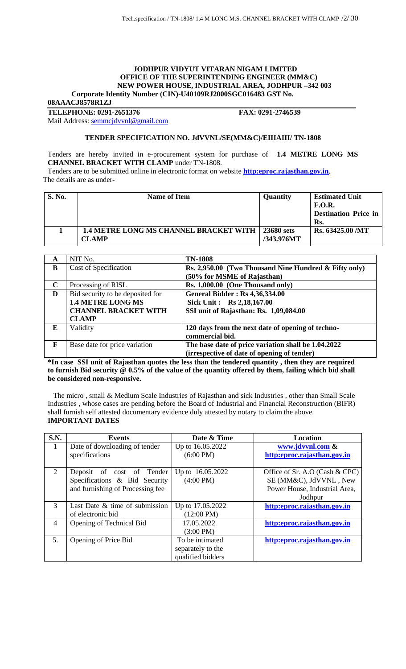### **JODHPUR VIDYUT VITARAN NIGAM LIMITED OFFICE OF THE SUPERINTENDING ENGINEER (MM&C) NEW POWER HOUSE, INDUSTRIAL AREA, JODHPUR –342 003 Corporate Identity Number (CIN)-U40109RJ2000SGC016483 GST No.**

**08AAACJ8578R1ZJ**

**TELEPHONE: 0291-2651376 FAX: 0291-2746539**

Mail Address: [semmcjdvvnl@gmail.com](mailto:semmcjdvvnl@gmail.com)

## **TENDER SPECIFICATION NO. JdVVNL/SE(MM&C)/EIIIAIII/ TN-1808**

Tenders are hereby invited in e-procurement system for purchase of **1.4 METRE LONG MS CHANNEL BRACKET WITH CLAMP** under TN-1808.

Tenders are to be submitted online in electronic format on website **[http:eproc.rajasthan.gov.in](http://www.eproc.rajasthan.gov.in/nicgep/app)**. The details are as under-

| <b>S. No.</b> | Name of Item                                                  | <b>Quantity</b>          | <b>Estimated Unit</b><br><b>F.O.R.</b><br><b>Destination Price in</b><br>Rs. |
|---------------|---------------------------------------------------------------|--------------------------|------------------------------------------------------------------------------|
|               | <b>1.4 METRE LONG MS CHANNEL BRACKET WITH</b><br><b>CLAMP</b> | 23680 sets<br>/343.976MT | Rs. 63425.00 /MT                                                             |

| A            | NIT No.                          | <b>TN-1808</b>                                        |
|--------------|----------------------------------|-------------------------------------------------------|
| B            | Cost of Specification            | Rs. 2,950.00 (Two Thousand Nine Hundred & Fifty only) |
|              |                                  | (50% for MSME of Rajasthan)                           |
| $\mathbf C$  | Processing of RISL               | Rs. 1,000.00 (One Thousand only)                      |
| D            | Bid security to be deposited for | <b>General Bidder: Rs 4,36,334.00</b>                 |
|              | <b>1.4 METRE LONG MS</b>         | Sick Unit: Rs 2,18,167.00                             |
|              | <b>CHANNEL BRACKET WITH</b>      | SSI unit of Rajasthan: Rs. 1,09,084.00                |
|              | <b>CLAMP</b>                     |                                                       |
| E            | Validity                         | 120 days from the next date of opening of techno-     |
|              |                                  | commercial bid.                                       |
| $\mathbf{F}$ | Base date for price variation    | The base date of price variation shall be 1.04.2022   |
|              |                                  | (irrespective of date of opening of tender)           |

**\*In case SSI unit of Rajasthan quotes the less than the tendered quantity , then they are required to furnish Bid security @ 0.5% of the value of the quantity offered by them, failing which bid shall be considered non-responsive.**

 The micro , small & Medium Scale Industries of Rajasthan and sick Industries , other than Small Scale Industries , whose cases are pending before the Board of Industrial and Financial Reconstruction (BIFR) shall furnish self attested documentary evidence duly attested by notary to claim the above. **IMPORTANT DATES**

| S.N.           | Events                            | Date & Time          | Location                       |
|----------------|-----------------------------------|----------------------|--------------------------------|
| 1              | Date of downloading of tender     | Up to 16.05.2022     | www.jdvvnl.com &               |
|                | specifications                    | $(6:00 \text{ PM})$  | http:eproc.rajasthan.gov.in    |
|                |                                   |                      |                                |
| $\overline{2}$ | Deposit of cost of Tender         | Up to 16.05.2022     | Office of Sr. A.O (Cash & CPC) |
|                | Specifications & Bid Security     | $(4:00 \text{ PM})$  | SE (MM&C), JdVVNL, New         |
|                | and furnishing of Processing fee  |                      | Power House, Industrial Area,  |
|                |                                   |                      | Jodhpur                        |
| $\mathcal{R}$  | Last Date $\&$ time of submission | Up to 17.05.2022     | http:eproc.rajasthan.gov.in    |
|                | of electronic bid                 | $(12:00 \text{ PM})$ |                                |
| $\overline{4}$ | Opening of Technical Bid          | 17.05.2022           | http:eproc.rajasthan.gov.in    |
|                |                                   | $(3:00 \text{ PM})$  |                                |
| 5.             | Opening of Price Bid              | To be intimated      | http:eproc.rajasthan.gov.in    |
|                |                                   | separately to the    |                                |
|                |                                   | qualified bidders    |                                |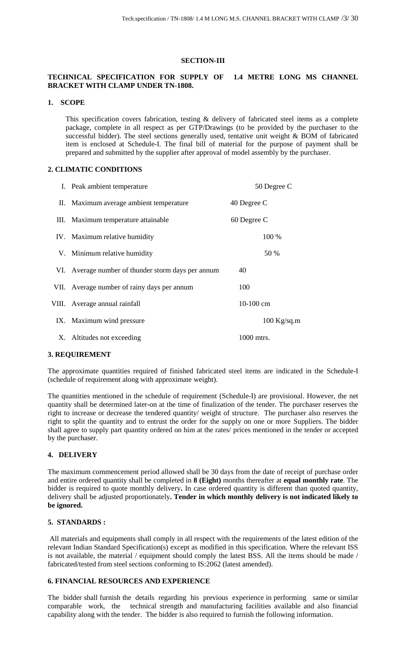#### **SECTION-III**

## **TECHNICAL SPECIFICATION FOR SUPPLY OF 1.4 METRE LONG MS CHANNEL BRACKET WITH CLAMP UNDER TN-1808.**

### **1. SCOPE**

This specification covers fabrication, testing & delivery of fabricated steel items as a complete package, complete in all respect as per GTP/Drawings (to be provided by the purchaser to the successful bidder). The steel sections generally used, tentative unit weight & BOM of fabricated item is enclosed at Schedule-I. The final bill of material for the purpose of payment shall be prepared and submitted by the supplier after approval of model assembly by the purchaser.

## **2. CLIMATIC CONDITIONS**

| I. Peak ambient temperature                        | 50 Degree C   |
|----------------------------------------------------|---------------|
| II. Maximum average ambient temperature            | 40 Degree C   |
| III. Maximum temperature attainable                | 60 Degree C   |
| IV. Maximum relative humidity                      | 100 %         |
| V. Minimum relative humidity                       | 50 %          |
| VI. Average number of thunder storm days per annum | 40            |
| VII. Average number of rainy days per annum        | 100           |
| VIII. Average annual rainfall                      | $10-100$ cm   |
| IX. Maximum wind pressure                          | $100$ Kg/sq.m |
| X. Altitudes not exceeding                         | 1000 mtrs.    |

#### **3. REQUIREMENT**

The approximate quantities required of finished fabricated steel items are indicated in the Schedule-I (schedule of requirement along with approximate weight).

The quantities mentioned in the schedule of requirement (Schedule-I) are provisional. However, the net quantity shall be determined later-on at the time of finalization of the tender. The purchaser reserves the right to increase or decrease the tendered quantity/ weight of structure. The purchaser also reserves the right to split the quantity and to entrust the order for the supply on one or more Suppliers. The bidder shall agree to supply part quantity ordered on him at the rates/ prices mentioned in the tender or accepted by the purchaser.

## **4. DELIVERY**

The maximum commencement period allowed shall be 30 days from the date of receipt of purchase order and entire ordered quantity shall be completed in **8 (Eight)** months thereafter at **equal monthly rate**. The bidder is required to quote monthly delivery**.** In case ordered quantity is different than quoted quantity, delivery shall be adjusted proportionately**. Tender in which monthly delivery is not indicated likely to be ignored.**

#### **5. STANDARDS :**

All materials and equipments shall comply in all respect with the requirements of the latest edition of the relevant Indian Standard Specification(s) except as modified in this specification. Where the relevant ISS is not available, the material / equipment should comply the latest BSS. All the items should be made / fabricated/tested from steel sections conforming to IS:2062 (latest amended).

## **6. FINANCIAL RESOURCES AND EXPERIENCE**

The bidder shall furnish the details regarding his previous experience in performing same or similar comparable work, the technical strength and manufacturing facilities available and also financial capability along with the tender. The bidder is also required to furnish the following information.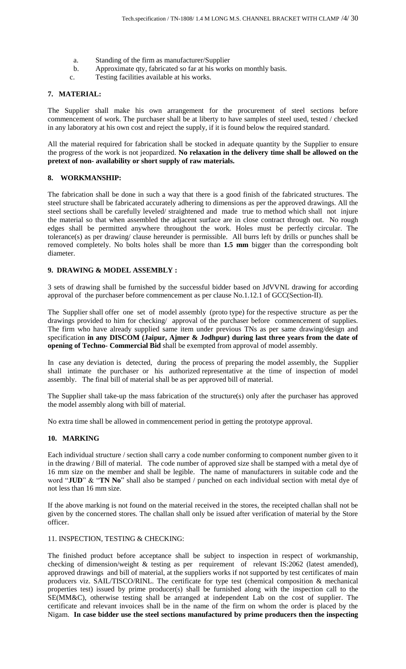- a. Standing of the firm as manufacturer/Supplier
- b. Approximate qty, fabricated so far at his works on monthly basis.
- c. Testing facilities available at his works.

## **7. MATERIAL:**

The Supplier shall make his own arrangement for the procurement of steel sections before commencement of work. The purchaser shall be at liberty to have samples of steel used, tested / checked in any laboratory at his own cost and reject the supply, if it is found below the required standard.

All the material required for fabrication shall be stocked in adequate quantity by the Supplier to ensure the progress of the work is not jeopardized. **No relaxation in the delivery time shall be allowed on the pretext of non- availability or short supply of raw materials.**

## **8. WORKMANSHIP:**

The fabrication shall be done in such a way that there is a good finish of the fabricated structures. The steel structure shall be fabricated accurately adhering to dimensions as per the approved drawings. All the steel sections shall be carefully leveled/ straightened and made true to method which shall not injure the material so that when assembled the adjacent surface are in close contract through out. No rough edges shall be permitted anywhere throughout the work. Holes must be perfectly circular. The tolerance(s) as per drawing/ clause hereunder is permissible. All burrs left by drills or punches shall be removed completely. No bolts holes shall be more than **1.5 mm** bigger than the corresponding bolt diameter.

### **9. DRAWING & MODEL ASSEMBLY :**

3 sets of drawing shall be furnished by the successful bidder based on JdVVNL drawing for according approval of the purchaser before commencement as per clause No.1.12.1 of GCC(Section-II).

The Supplier shall offer one set of model assembly (proto type) for the respective structure as per the drawings provided to him for checking/ approval of the purchaser before commencement of supplies. The firm who have already supplied same item under previous TNs as per same drawing/design and specification **in any DISCOM (Jaipur, Ajmer & Jodhpur) during last three years from the date of opening of Techno- Commercial Bid** shall be exempted from approval of model assembly.

In case any deviation is detected, during the process of preparing the model assembly, the Supplier shall intimate the purchaser or his authorized representative at the time of inspection of model assembly. The final bill of material shall be as per approved bill of material.

The Supplier shall take-up the mass fabrication of the structure(s) only after the purchaser has approved the model assembly along with bill of material.

No extra time shall be allowed in commencement period in getting the prototype approval.

## **10. MARKING**

Each individual structure / section shall carry a code number conforming to component number given to it in the drawing / Bill of material. The code number of approved size shall be stamped with a metal dye of 16 mm size on the member and shall be legible. The name of manufacturers in suitable code and the word "**JUD**" & "**TN No**" shall also be stamped / punched on each individual section with metal dye of not less than 16 mm size.

If the above marking is not found on the material received in the stores, the receipted challan shall not be given by the concerned stores. The challan shall only be issued after verification of material by the Store officer.

#### 11. INSPECTION, TESTING & CHECKING:

The finished product before acceptance shall be subject to inspection in respect of workmanship, checking of dimension/weight & testing as per requirement of relevant IS:2062 (latest amended), approved drawings and bill of material, at the suppliers works if not supported by test certificates of main producers viz. SAIL/TISCO/RINL. The certificate for type test (chemical composition & mechanical properties test) issued by prime producer(s) shall be furnished along with the inspection call to the SE(MM&C), otherwise testing shall be arranged at independent Lab on the cost of supplier. The certificate and relevant invoices shall be in the name of the firm on whom the order is placed by the Nigam. **In case bidder use the steel sections manufactured by prime producers then the inspecting**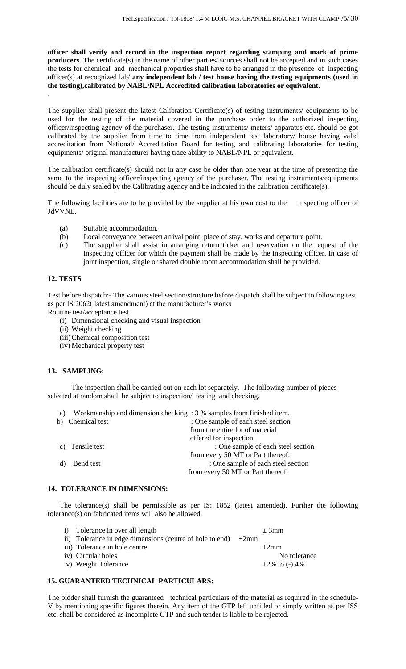**officer shall verify and record in the inspection report regarding stamping and mark of prime producers**. The certificate(s) in the name of other parties/ sources shall not be accepted and in such cases the tests for chemical and mechanical properties shall have to be arranged in the presence of inspecting officer(s) at recognized lab/ **any independent lab / test house having the testing equipments (used in the testing),calibrated by NABL/NPL Accredited calibration laboratories or equivalent.** .

The supplier shall present the latest Calibration Certificate(s) of testing instruments/ equipments to be used for the testing of the material covered in the purchase order to the authorized inspecting officer/inspecting agency of the purchaser. The testing instruments/ meters/ apparatus etc. should be got calibrated by the supplier from time to time from independent test laboratory/ house having valid accreditation from National/ Accreditation Board for testing and calibrating laboratories for testing equipments/ original manufacturer having trace ability to NABL/NPL or equivalent.

The calibration certificate(s) should not in any case be older than one year at the time of presenting the same to the inspecting officer/inspecting agency of the purchaser. The testing instruments/equipments should be duly sealed by the Calibrating agency and be indicated in the calibration certificate(s).

The following facilities are to be provided by the supplier at his own cost to the inspecting officer of JdVVNL.

- (a) Suitable accommodation.
- (b) Local conveyance between arrival point, place of stay, works and departure point.
- (c) The supplier shall assist in arranging return ticket and reservation on the request of the inspecting officer for which the payment shall be made by the inspecting officer. In case of joint inspection, single or shared double room accommodation shall be provided.

## **12. TESTS**

Test before dispatch:- The various steel section/structure before dispatch shall be subject to following test as per IS:2062( latest amendment) at the manufacturer's works Routine test/acceptance test

- (i) Dimensional checking and visual inspection
- (ii) Weight checking
- (iii)Chemical composition test
- (iv) Mechanical property test

## **13. SAMPLING:**

The inspection shall be carried out on each lot separately. The following number of pieces selected at random shall be subject to inspection/ testing and checking.

| Workmanship and dimension checking : 3 % samples from finished item.<br>a) |                                    |
|----------------------------------------------------------------------------|------------------------------------|
| b) Chemical test                                                           | : One sample of each steel section |
|                                                                            | from the entire lot of material    |
|                                                                            | offered for inspection.            |
| c) Tensile test                                                            | : One sample of each steel section |
|                                                                            | from every 50 MT or Part thereof.  |
| Bend test                                                                  | : One sample of each steel section |
|                                                                            | from every 50 MT or Part thereof.  |

## **14. TOLERANCE IN DIMENSIONS:**

The tolerance(s) shall be permissible as per IS:  $1852$  (latest amended). Further the following tolerance(s) on fabricated items will also be allowed.

i) Tolerance in over all length  $\pm 3$ mm ii) Tolerance in edge dimensions (centre of hole to end)  $\pm 2$ mm iii) Tolerance in hole centre  $\pm 2$ mm iv) Circular holes No tolerance No tolerance No tolerance v) Weight Tolerance  $+2\%$  to  $(-)$  4%

## **15. GUARANTEED TECHNICAL PARTICULARS:**

The bidder shall furnish the guaranteed technical particulars of the material as required in the schedule-V by mentioning specific figures therein. Any item of the GTP left unfilled or simply written as per ISS etc. shall be considered as incomplete GTP and such tender is liable to be rejected.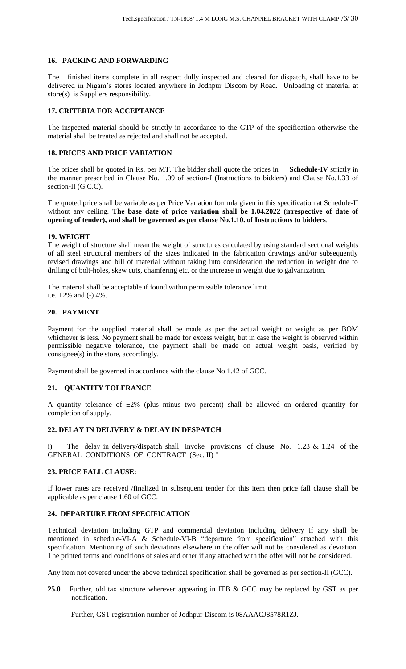## **16. PACKING AND FORWARDING**

The finished items complete in all respect dully inspected and cleared for dispatch, shall have to be delivered in Nigam's stores located anywhere in Jodhpur Discom by Road. Unloading of material at store(s) is Suppliers responsibility.

## **17. CRITERIA FOR ACCEPTANCE**

The inspected material should be strictly in accordance to the GTP of the specification otherwise the material shall be treated as rejected and shall not be accepted.

## **18. PRICES AND PRICE VARIATION**

The prices shall be quoted in Rs. per MT. The bidder shall quote the prices in **Schedule-IV** strictly in the manner prescribed in Clause No. 1.09 of section-I (Instructions to bidders) and Clause No.1.33 of section-II (G.C.C).

The quoted price shall be variable as per Price Variation formula given in this specification at Schedule-II without any ceiling. **The base date of price variation shall be 1.04.2022 (irrespective of date of opening of tender), and shall be governed as per clause No.1.10. of Instructions to bidders**.

## **19. WEIGHT**

The weight of structure shall mean the weight of structures calculated by using standard sectional weights of all steel structural members of the sizes indicated in the fabrication drawings and/or subsequently revised drawings and bill of material without taking into consideration the reduction in weight due to drilling of bolt-holes, skew cuts, chamfering etc. or the increase in weight due to galvanization.

The material shall be acceptable if found within permissible tolerance limit i.e.  $+2\%$  and  $(-)$  4%.

## **20. PAYMENT**

Payment for the supplied material shall be made as per the actual weight or weight as per BOM whichever is less. No payment shall be made for excess weight, but in case the weight is observed within permissible negative tolerance, the payment shall be made on actual weight basis, verified by consignee(s) in the store, accordingly.

Payment shall be governed in accordance with the clause No.1.42 of GCC.

## **21. QUANTITY TOLERANCE**

A quantity tolerance of  $\pm 2\%$  (plus minus two percent) shall be allowed on ordered quantity for completion of supply.

## **22. DELAY IN DELIVERY & DELAY IN DESPATCH**

i) The delay in delivery/dispatch shall invoke provisions of clause No. 1.23 & 1.24 of the GENERAL CONDITIONS OF CONTRACT (Sec. II) "

## **23. PRICE FALL CLAUSE:**

If lower rates are received /finalized in subsequent tender for this item then price fall clause shall be applicable as per clause 1.60 of GCC.

## **24. DEPARTURE FROM SPECIFICATION**

Technical deviation including GTP and commercial deviation including delivery if any shall be mentioned in schedule-VI-A & Schedule-VI-B "departure from specification" attached with this specification. Mentioning of such deviations elsewhere in the offer will not be considered as deviation. The printed terms and conditions of sales and other if any attached with the offer will not be considered.

Any item not covered under the above technical specification shall be governed as per section-II (GCC).

**25.0** Further, old tax structure wherever appearing in ITB & GCC may be replaced by GST as per notification.

Further, GST registration number of Jodhpur Discom is 08AAACJ8578R1ZJ.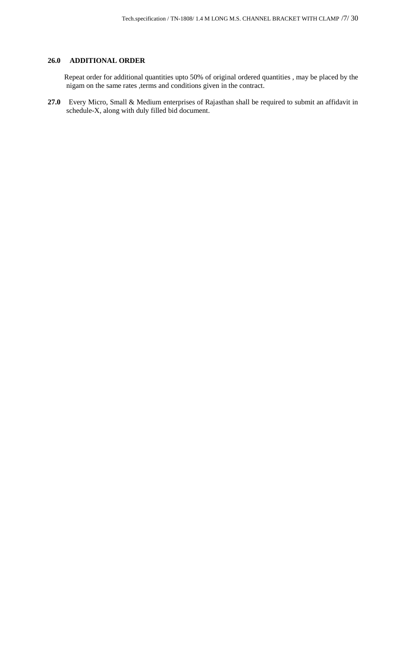## **26.0 ADDITIONAL ORDER**

 Repeat order for additional quantities upto 50% of original ordered quantities , may be placed by the nigam on the same rates ,terms and conditions given in the contract.

**27.0** Every Micro, Small & Medium enterprises of Rajasthan shall be required to submit an affidavit in schedule-X, along with duly filled bid document.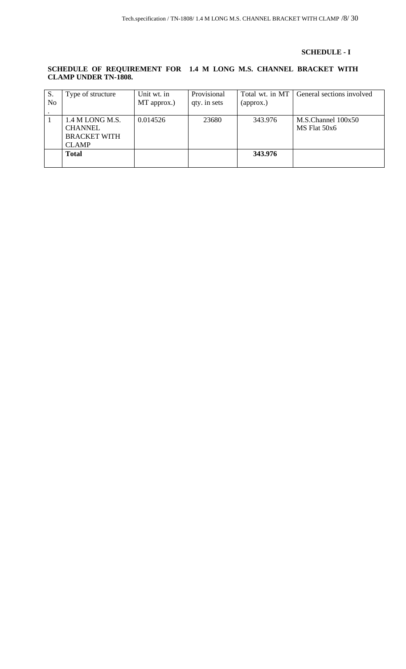## **SCHEDULE - I**

## **SCHEDULE OF REQUIREMENT FOR 1.4 M LONG M.S. CHANNEL BRACKET WITH CLAMP UNDER TN-1808.**

| S.             | Type of structure   | Unit wt. in | Provisional  | Total wt. in MT | General sections involved |
|----------------|---------------------|-------------|--------------|-----------------|---------------------------|
| N <sub>0</sub> |                     | MT approx.) | qty. in sets | (approx.)       |                           |
|                |                     |             |              |                 |                           |
|                | 1.4 M LONG M.S.     | 0.014526    | 23680        | 343.976         | $M.S.C$ hannel $100x50$   |
|                | <b>CHANNEL</b>      |             |              |                 | MS Flat 50x6              |
|                | <b>BRACKET WITH</b> |             |              |                 |                           |
|                | <b>CLAMP</b>        |             |              |                 |                           |
|                | <b>Total</b>        |             |              | 343.976         |                           |
|                |                     |             |              |                 |                           |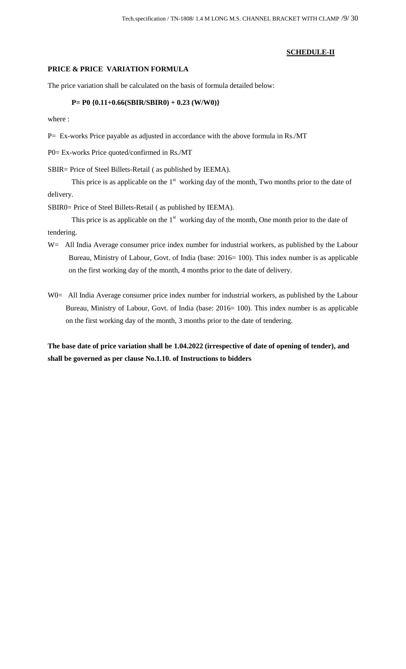## **SCHEDULE-II**

## **PRICE & PRICE VARIATION FORMULA**

The price variation shall be calculated on the basis of formula detailed below:

## **P= P0 {0.11+0.66(SBIR/SBIR0) + 0.23 (W/W0)}**

where :

P= Ex-works Price payable as adjusted in accordance with the above formula in Rs./MT

P0= Ex-works Price quoted/confirmed in Rs./MT

SBIR= Price of Steel Billets-Retail ( as published by IEEMA).

This price is as applicable on the  $1<sup>st</sup>$  working day of the month, Two months prior to the date of delivery.

SBIR0= Price of Steel Billets-Retail ( as published by IEEMA).

This price is as applicable on the  $1<sup>st</sup>$  working day of the month, One month prior to the date of tendering.

- W = All India Average consumer price index number for industrial workers, as published by the Labour Bureau, Ministry of Labour, Govt. of India (base: 2016= 100). This index number is as applicable on the first working day of the month, 4 months prior to the date of delivery.
- W0= All India Average consumer price index number for industrial workers, as published by the Labour Bureau, Ministry of Labour, Govt. of India (base: 2016= 100). This index number is as applicable on the first working day of the month, 3 months prior to the date of tendering.

**The base date of price variation shall be 1.04.2022 (irrespective of date of opening of tender), and shall be governed as per clause No.1.10. of Instructions to bidders**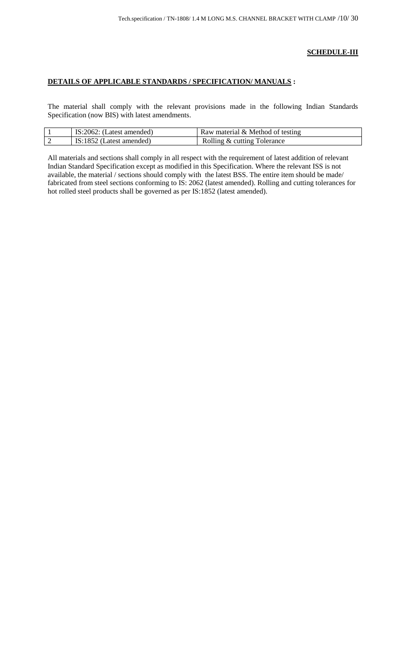## **SCHEDULE-III**

## **DETAILS OF APPLICABLE STANDARDS / SPECIFICATION/ MANUALS :**

The material shall comply with the relevant provisions made in the following Indian Standards Specification (now BIS) with latest amendments.

|   | IS:2062:<br>(Latest amended) | Raw material & Method of testing |
|---|------------------------------|----------------------------------|
| ∼ | TC.1057<br>Latest amended)   | Rolling & cutting Tolerance      |

All materials and sections shall comply in all respect with the requirement of latest addition of relevant Indian Standard Specification except as modified in this Specification. Where the relevant ISS is not available, the material / sections should comply with the latest BSS. The entire item should be made/ fabricated from steel sections conforming to IS: 2062 (latest amended). Rolling and cutting tolerances for hot rolled steel products shall be governed as per IS:1852 (latest amended).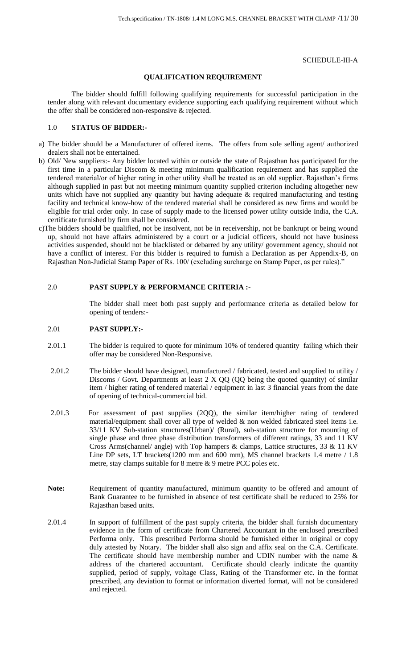#### SCHEDULE-III-A

## **QUALIFICATION REQUIREMENT**

The bidder should fulfill following qualifying requirements for successful participation in the tender along with relevant documentary evidence supporting each qualifying requirement without which the offer shall be considered non-responsive & rejected.

## 1.0 **STATUS OF BIDDER:-**

- a) The bidder should be a Manufacturer of offered items. The offers from sole selling agent/ authorized dealers shall not be entertained.
- b) Old/ New suppliers:- Any bidder located within or outside the state of Rajasthan has participated for the first time in a particular Discom & meeting minimum qualification requirement and has supplied the tendered material/or of higher rating in other utility shall be treated as an old supplier. Rajasthan's firms although supplied in past but not meeting minimum quantity supplied criterion including altogether new units which have not supplied any quantity but having adequate  $\&$  required manufacturing and testing facility and technical know-how of the tendered material shall be considered as new firms and would be eligible for trial order only. In case of supply made to the licensed power utility outside India, the C.A. certificate furnished by firm shall be considered.
- c)The bidders should be qualified, not be insolvent, not be in receivership, not be bankrupt or being wound up, should not have affairs administered by a court or a judicial officers, should not have business activities suspended, should not be blacklisted or debarred by any utility/ government agency, should not have a conflict of interest. For this bidder is required to furnish a Declaration as per Appendix-B, on Rajasthan Non-Judicial Stamp Paper of Rs. 100/ (excluding surcharge on Stamp Paper, as per rules)."

#### 2.0 **PAST SUPPLY & PERFORMANCE CRITERIA :-**

The bidder shall meet both past supply and performance criteria as detailed below for opening of tenders:-

## 2.01 **PAST SUPPLY:-**

- 2.01.1 The bidder is required to quote for minimum 10% of tendered quantity failing which their offer may be considered Non-Responsive.
- 2.01.2 The bidder should have designed, manufactured / fabricated, tested and supplied to utility / Discoms / Govt. Departments at least 2 X QQ (QQ being the quoted quantity) of similar item / higher rating of tendered material / equipment in last 3 financial years from the date of opening of technical-commercial bid.
- 2.01.3 For assessment of past supplies (2QQ), the similar item/higher rating of tendered material/equipment shall cover all type of welded & non welded fabricated steel items i.e. 33/11 KV Sub-station structures(Urban)/ (Rural), sub-station structure for mounting of single phase and three phase distribution transformers of different ratings, 33 and 11 KV Cross Arms(channel/ angle) with Top hampers & clamps, Lattice structures, 33 & 11 KV Line DP sets, LT brackets(1200 mm and 600 mm), MS channel brackets 1.4 metre / 1.8 metre, stay clamps suitable for 8 metre & 9 metre PCC poles etc.
- **Note:** Requirement of quantity manufactured, minimum quantity to be offered and amount of Bank Guarantee to be furnished in absence of test certificate shall be reduced to 25% for Rajasthan based units.
- 2.01.4 In support of fulfillment of the past supply criteria, the bidder shall furnish documentary evidence in the form of certificate from Chartered Accountant in the enclosed prescribed Performa only. This prescribed Performa should be furnished either in original or copy duly attested by Notary. The bidder shall also sign and affix seal on the C.A. Certificate. The certificate should have membership number and UDIN number with the name & address of the chartered accountant. Certificate should clearly indicate the quantity supplied, period of supply, voltage Class, Rating of the Transformer etc. in the format prescribed, any deviation to format or information diverted format, will not be considered and rejected.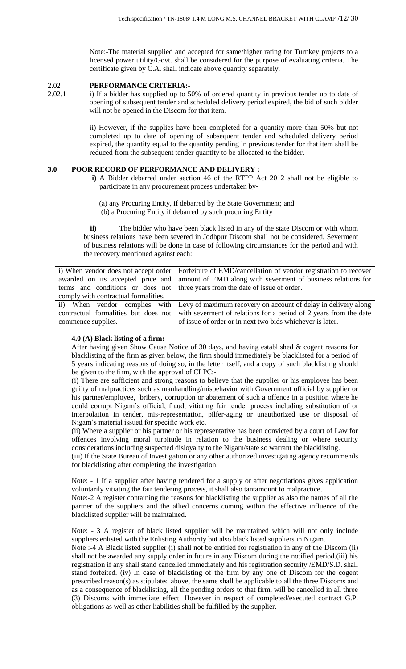Note:-The material supplied and accepted for same/higher rating for Turnkey projects to a licensed power utility/Govt. shall be considered for the purpose of evaluating criteria. The certificate given by C.A. shall indicate above quantity separately.

## 2.02 **PERFORMANCE CRITERIA:-**

2.02.1 i) If a bidder has supplied up to 50% of ordered quantity in previous tender up to date of opening of subsequent tender and scheduled delivery period expired, the bid of such bidder will not be opened in the Discom for that item.

> ii) However, if the supplies have been completed for a quantity more than 50% but not completed up to date of opening of subsequent tender and scheduled delivery period expired, the quantity equal to the quantity pending in previous tender for that item shall be reduced from the subsequent tender quantity to be allocated to the bidder.

## **3.0 POOR RECORD OF PERFORMANCE AND DELIVERY :**

- **i)** A Bidder debarred under section 46 of the RTPP Act 2012 shall not be eligible to participate in any procurement process undertaken by‐
	- (a) any Procuring Entity, if debarred by the State Government; and (b) a Procuring Entity if debarred by such procuring Entity

**ii)** The bidder who have been black listed in any of the state Discom or with whom business relations have been severed in Jodhpur Discom shall not be considered. Severment of business relations will be done in case of following circumstances for the period and with the recovery mentioned against each:

|                                      | i) When vendor does not accept order   Forfeiture of EMD/cancellation of vendor registration to recover |
|--------------------------------------|---------------------------------------------------------------------------------------------------------|
| awarded on its accepted price and    | amount of EMD along with severment of business relations for                                            |
| terms and conditions or does not     | three years from the date of issue of order.                                                            |
| comply with contractual formalities. |                                                                                                         |
|                                      | ii) When vendor complies with Levy of maximum recovery on account of delay in delivery along            |
| contractual formalities but does not | with severment of relations for a period of 2 years from the date                                       |
| commence supplies.                   | of issue of order or in next two bids whichever is later.                                               |

## **4.0 (A) Black listing of a firm:**

After having given Show Cause Notice of 30 days, and having established & cogent reasons for blacklisting of the firm as given below, the firm should immediately be blacklisted for a period of 5 years indicating reasons of doing so, in the letter itself, and a copy of such blacklisting should be given to the firm, with the approval of CLPC:-

(i) There are sufficient and strong reasons to believe that the supplier or his employee has been guilty of malpractices such as manhandling/misbehavior with Government official by supplier or his partner/employee, bribery, corruption or abatement of such a offence in a position where he could corrupt Nigam's official, fraud, vitiating fair tender process including substitution of or interpolation in tender, mis-representation, pilfer-aging or unauthorized use or disposal of Nigam's material issued for specific work etc.

(ii) Where a supplier or his partner or his representative has been convicted by a court of Law for offences involving moral turpitude in relation to the business dealing or where security considerations including suspected disloyalty to the Nigam/state so warrant the blacklisting.

(iii) If the State Bureau of Investigation or any other authorized investigating agency recommends for blacklisting after completing the investigation.

Note: - 1 If a supplier after having tendered for a supply or after negotiations gives application voluntarily vitiating the fair tendering process, it shall also tantamount to malpractice.

Note:-2 A register containing the reasons for blacklisting the supplier as also the names of all the partner of the suppliers and the allied concerns coming within the effective influence of the blacklisted supplier will be maintained.

Note: - 3 A register of black listed supplier will be maintained which will not only include suppliers enlisted with the Enlisting Authority but also black listed suppliers in Nigam.

Note :-4 A Black listed supplier (i) shall not be entitled for registration in any of the Discom (ii) shall not be awarded any supply order in future in any Discom during the notified period.(iii) his registration if any shall stand cancelled immediately and his registration security /EMD/S.D. shall stand forfeited. (iv) In case of blacklisting of the firm by any one of Discom for the cogent prescribed reason(s) as stipulated above, the same shall be applicable to all the three Discoms and as a consequence of blacklisting, all the pending orders to that firm, will be cancelled in all three (3) Discoms with immediate effect. However in respect of completed/executed contract G.P. obligations as well as other liabilities shall be fulfilled by the supplier.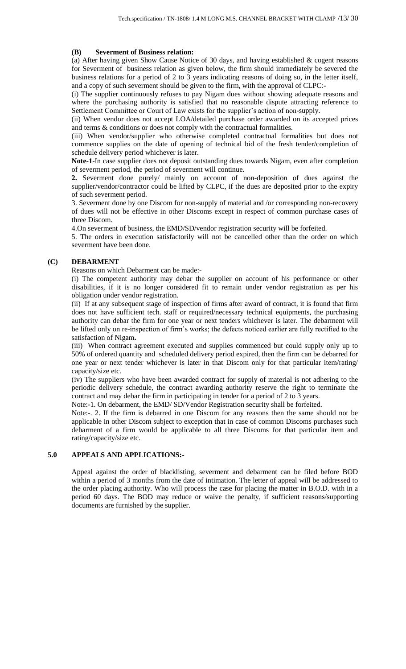#### **(B) Severment of Business relation:**

(a) After having given Show Cause Notice of 30 days, and having established  $\&$  cogent reasons for Severment of business relation as given below, the firm should immediately be severed the business relations for a period of 2 to 3 years indicating reasons of doing so, in the letter itself, and a copy of such severment should be given to the firm, with the approval of CLPC:-

(i) The supplier continuously refuses to pay Nigam dues without showing adequate reasons and where the purchasing authority is satisfied that no reasonable dispute attracting reference to Settlement Committee or Court of Law exists for the supplier's action of non-supply.

(ii) When vendor does not accept LOA/detailed purchase order awarded on its accepted prices and terms & conditions or does not comply with the contractual formalities.

(iii) When vendor/supplier who otherwise completed contractual formalities but does not commence supplies on the date of opening of technical bid of the fresh tender/completion of schedule delivery period whichever is later.

**Note-1**-In case supplier does not deposit outstanding dues towards Nigam, even after completion of severment period, the period of severment will continue.

**2.** Severment done purely/ mainly on account of non-deposition of dues against the supplier/vendor/contractor could be lifted by CLPC, if the dues are deposited prior to the expiry of such severment period.

3. Severment done by one Discom for non-supply of material and /or corresponding non-recovery of dues will not be effective in other Discoms except in respect of common purchase cases of three Discom.

4.On severment of business, the EMD/SD/vendor registration security will be forfeited.

5. The orders in execution satisfactorily will not be cancelled other than the order on which severment have been done.

## **(C) DEBARMENT**

Reasons on which Debarment can be made:-

(i) The competent authority may debar the supplier on account of his performance or other disabilities, if it is no longer considered fit to remain under vendor registration as per his obligation under vendor registration.

(ii) If at any subsequent stage of inspection of firms after award of contract, it is found that firm does not have sufficient tech. staff or required/necessary technical equipments, the purchasing authority can debar the firm for one year or next tenders whichever is later. The debarment will be lifted only on re-inspection of firm's works; the defects noticed earlier are fully rectified to the satisfaction of Nigam**.** 

(iii) When contract agreement executed and supplies commenced but could supply only up to 50% of ordered quantity and scheduled delivery period expired, then the firm can be debarred for one year or next tender whichever is later in that Discom only for that particular item/rating/ capacity/size etc.

(iv) The suppliers who have been awarded contract for supply of material is not adhering to the periodic delivery schedule, the contract awarding authority reserve the right to terminate the contract and may debar the firm in participating in tender for a period of 2 to 3 years.

Note:-1. On debarment, the EMD/ SD/Vendor Registration security shall be forfeited.

Note:-. 2. If the firm is debarred in one Discom for any reasons then the same should not be applicable in other Discom subject to exception that in case of common Discoms purchases such debarment of a firm would be applicable to all three Discoms for that particular item and rating/capacity/size etc.

#### **5.0 APPEALS AND APPLICATIONS:-**

Appeal against the order of blacklisting, severment and debarment can be filed before BOD within a period of 3 months from the date of intimation. The letter of appeal will be addressed to the order placing authority. Who will process the case for placing the matter in B.O.D. with in a period 60 days. The BOD may reduce or waive the penalty, if sufficient reasons/supporting documents are furnished by the supplier.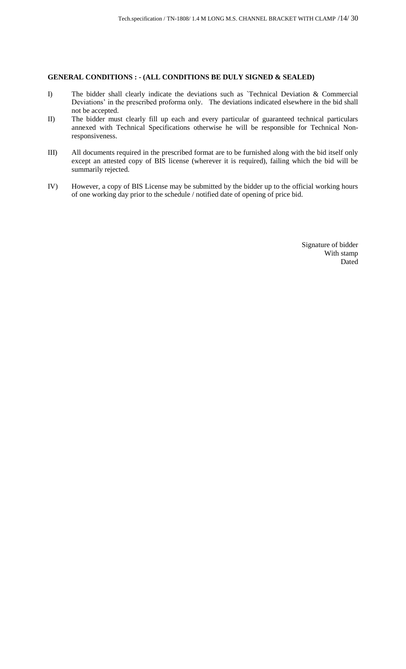## **GENERAL CONDITIONS : - (ALL CONDITIONS BE DULY SIGNED & SEALED)**

- I) The bidder shall clearly indicate the deviations such as `Technical Deviation & Commercial Deviations' in the prescribed proforma only. The deviations indicated elsewhere in the bid shall not be accepted.
- II) The bidder must clearly fill up each and every particular of guaranteed technical particulars annexed with Technical Specifications otherwise he will be responsible for Technical Nonresponsiveness.
- III) All documents required in the prescribed format are to be furnished along with the bid itself only except an attested copy of BIS license (wherever it is required), failing which the bid will be summarily rejected.
- IV) However, a copy of BIS License may be submitted by the bidder up to the official working hours of one working day prior to the schedule / notified date of opening of price bid.

Signature of bidder With stamp Dated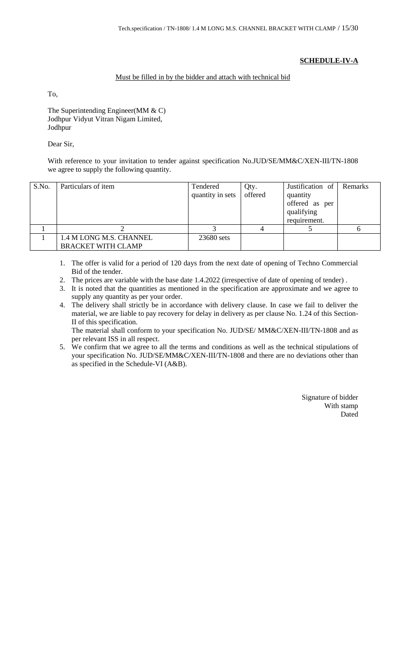## **SCHEDULE-IV-A**

## Must be filled in by the bidder and attach with technical bid

To,

The Superintending Engineer(MM & C) Jodhpur Vidyut Vitran Nigam Limited, Jodhpur

## Dear Sir,

With reference to your invitation to tender against specification No.JUD/SE/MM&C/XEN-III/TN-1808 we agree to supply the following quantity.

| S.No. | Particulars of item                                  | Tendered<br>quantity in sets | Qty.<br>offered | Justification of<br>quantity<br>offered as per<br>qualifying<br>requirement. | Remarks |
|-------|------------------------------------------------------|------------------------------|-----------------|------------------------------------------------------------------------------|---------|
|       |                                                      |                              |                 |                                                                              |         |
|       | 1.4 M LONG M.S. CHANNEL<br><b>BRACKET WITH CLAMP</b> | 23680 sets                   |                 |                                                                              |         |

- 1. The offer is valid for a period of 120 days from the next date of opening of Techno Commercial Bid of the tender.
- 2. The prices are variable with the base date 1.4.2022 (irrespective of date of opening of tender) .
- 3. It is noted that the quantities as mentioned in the specification are approximate and we agree to supply any quantity as per your order.
- 4. The delivery shall strictly be in accordance with delivery clause. In case we fail to deliver the material, we are liable to pay recovery for delay in delivery as per clause No. 1.24 of this Section-II of this specification.

The material shall conform to your specification No. JUD/SE/ MM&C/XEN-III/TN-1808 and as per relevant ISS in all respect.

5. We confirm that we agree to all the terms and conditions as well as the technical stipulations of your specification No. JUD/SE/MM&C/XEN-III/TN-1808 and there are no deviations other than as specified in the Schedule-VI (A&B).

> Signature of bidder With stamp Dated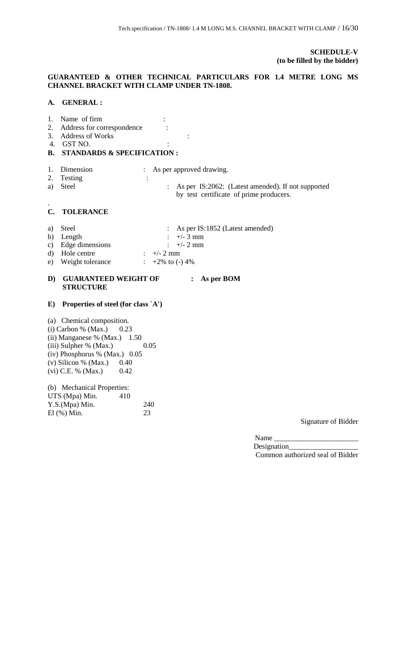## **SCHEDULE-V (to be filled by the bidder)**

## **GUARANTEED & OTHER TECHNICAL PARTICULARS FOR 1.4 METRE LONG MS CHANNEL BRACKET WITH CLAMP UNDER TN-1808.**

## **A. GENERAL :**

| 1.<br>2.<br>3.<br>4.<br>В. | Name of firm<br>Address for correspondence<br><b>Address of Works</b><br>GST NO.<br><b>STANDARDS &amp; SPECIFICATION:</b>                                                                                                    |                                                                                                                                |
|----------------------------|------------------------------------------------------------------------------------------------------------------------------------------------------------------------------------------------------------------------------|--------------------------------------------------------------------------------------------------------------------------------|
| 1.<br>2.<br>a)             | Dimension<br>Testing<br><b>Steel</b>                                                                                                                                                                                         | As per approved drawing.<br>÷<br>As per IS:2062: (Latest amended). If not supported<br>by test certificate of prime producers. |
| C.                         | <b>TOLERANCE</b>                                                                                                                                                                                                             |                                                                                                                                |
| a)<br>b)<br>c)<br>d)<br>e) | Steel<br>Length<br>Edge dimensions<br>Hole centre<br>Weight tolerance                                                                                                                                                        | As per IS:1852 (Latest amended)<br>$+/- 3$ mm<br>$+/- 2$ mm<br>$+/- 2$ mm<br>$+2\%$ to (-) 4\%                                 |
| D)                         | <b>GUARANTEED WEIGHT OF</b><br><b>STRUCTURE</b>                                                                                                                                                                              | As per BOM                                                                                                                     |
| $\bf E)$                   | Properties of steel (for class `A')                                                                                                                                                                                          |                                                                                                                                |
|                            | (a) Chemical composition.<br>$(i)$ Carbon % (Max.)<br>0.23<br>(ii) Manganese % (Max.)<br>1.50<br>(iii) Sulpher % (Max.)<br>$(iv)$ Phosphorus % (Max.) 0.05<br>$(v)$ Silicon % (Max.)<br>0.40<br>$(vi)$ C.E. % (Max.)<br>0.42 | 0.05                                                                                                                           |
|                            | (b) Mechanical Properties:<br>UTS (Mpa) Min.<br>410<br>Y.S.(Mpa) Min.<br>$El$ $(\%) Min.$                                                                                                                                    | 240<br>23                                                                                                                      |

Signature of Bidder

Name $\_$ Designation\_ Common authorized seal of Bidder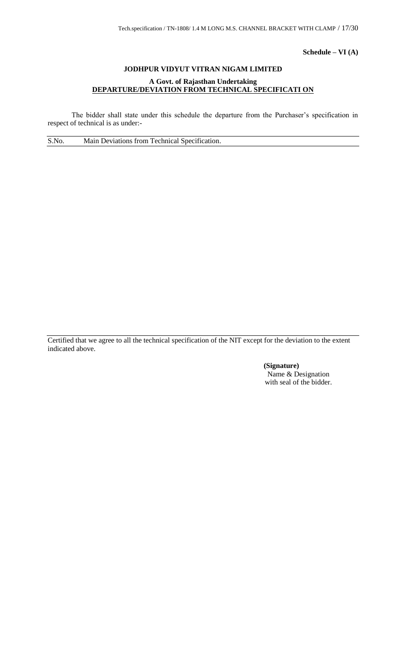**Schedule – VI (A)**

# **JODHPUR VIDYUT VITRAN NIGAM LIMITED A Govt. of Rajasthan Undertaking DEPARTURE/DEVIATION FROM TECHNICAL SPECIFICATI ON**

The bidder shall state under this schedule the departure from the Purchaser's specification in respect of technical is as under:-

S.No. Main Deviations from Technical Specification.

Certified that we agree to all the technical specification of the NIT except for the deviation to the extent indicated above.

> **(Signature)** Name & Designation with seal of the bidder.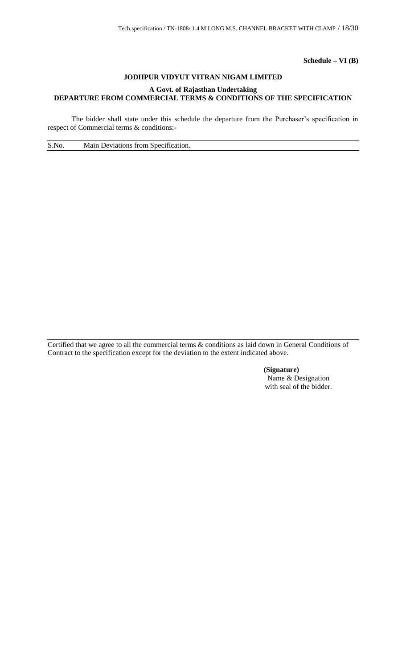**Schedule – VI (B)**

## **JODHPUR VIDYUT VITRAN NIGAM LIMITED**

## **A Govt. of Rajasthan Undertaking DEPARTURE FROM COMMERCIAL TERMS & CONDITIONS OF THE SPECIFICATION**

The bidder shall state under this schedule the departure from the Purchaser's specification in respect of Commercial terms & conditions:-

S.No. Main Deviations from Specification.

Certified that we agree to all the commercial terms & conditions as laid down in General Conditions of Contract to the specification except for the deviation to the extent indicated above.

> **(Signature)** Name & Designation with seal of the bidder.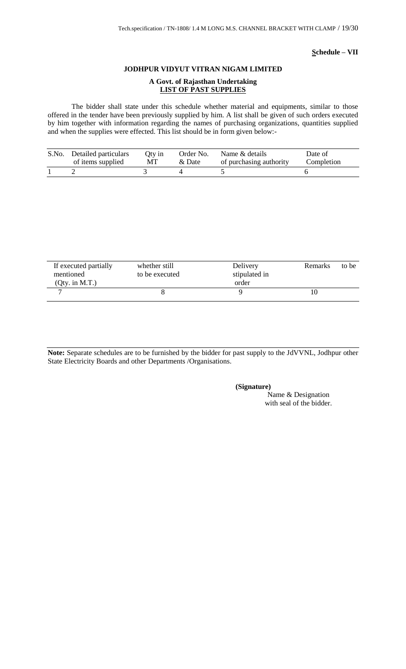## **Schedule – VII**

#### **JODHPUR VIDYUT VITRAN NIGAM LIMITED**

### **A Govt. of Rajasthan Undertaking LIST OF PAST SUPPLIES**

The bidder shall state under this schedule whether material and equipments, similar to those offered in the tender have been previously supplied by him. A list shall be given of such orders executed by him together with information regarding the names of purchasing organizations, quantities supplied and when the supplies were effected. This list should be in form given below:-

| S.No. Detailed particulars | Oty in | Order No. | Name & details          | Date of    |
|----------------------------|--------|-----------|-------------------------|------------|
| of items supplied          | МT     | & Date    | of purchasing authority | Completion |
|                            |        |           |                         |            |

| If executed partially<br>mentioned<br>$(Qty.$ in M.T.) | whether still<br>to be executed | Delivery<br>stipulated in<br>order | Remarks | to be |
|--------------------------------------------------------|---------------------------------|------------------------------------|---------|-------|
|                                                        |                                 |                                    |         |       |

**Note:** Separate schedules are to be furnished by the bidder for past supply to the JdVVNL, Jodhpur other State Electricity Boards and other Departments /Organisations.

#### **(Signature)**

Name & Designation with seal of the bidder.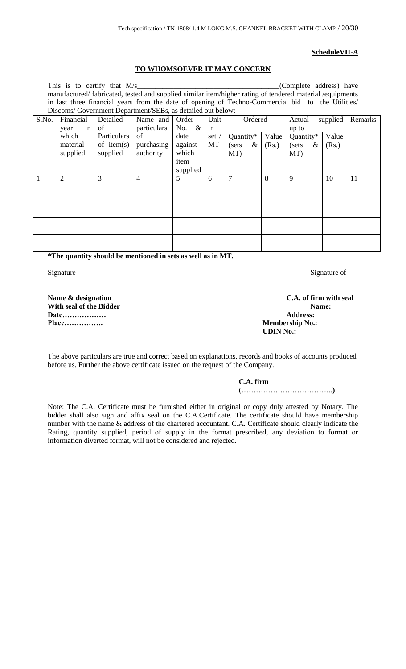#### **ScheduleVII-A**

## **TO WHOMSOEVER IT MAY CONCERN**

This is to certify that  $M/s$  (Complete address) have manufactured/ fabricated, tested and supplied similar item/higher rating of tendered material /equipments in last three financial years from the date of opening of Techno-Commercial bid to the Utilities/ Discoms/ Government Department/SEBs, as detailed out below:-

| S.No. | Financial<br>in<br>year       | Detailed<br>of                           | Name and<br>particulars       | Order<br>No. $\&$                            | Unit<br>in  | Ordered                           |                | Actual<br>up to                   | supplied       | Remarks |
|-------|-------------------------------|------------------------------------------|-------------------------------|----------------------------------------------|-------------|-----------------------------------|----------------|-----------------------------------|----------------|---------|
|       | which<br>material<br>supplied | Particulars<br>of item $(s)$<br>supplied | οf<br>purchasing<br>authority | date<br>against<br>which<br>item<br>supplied | set /<br>MT | Quantity*<br>$\&$<br>(sets<br>MT) | Value<br>(Rs.) | Quantity*<br>$\&$<br>(sets<br>MT) | Value<br>(Rs.) |         |
|       | $\overline{2}$                | 3                                        | 4                             | 5                                            | 6           | 7                                 | 8              | 9                                 | 10             | 11      |
|       |                               |                                          |                               |                                              |             |                                   |                |                                   |                |         |
|       |                               |                                          |                               |                                              |             |                                   |                |                                   |                |         |
|       |                               |                                          |                               |                                              |             |                                   |                |                                   |                |         |
|       |                               |                                          |                               |                                              |             |                                   |                |                                   |                |         |

**\*The quantity should be mentioned in sets as well as in MT.**

Signature Signature of Signature of Signature of Signature of Signature of Signature of Signature of Signature of Signature of Signature of Signature of Signature of Signature of Signature of Signature of Signature of Sign

**Name & designation** C.A. of firm with seal **With seal of the Bidder Name:** Date……………… **Place……………. Membership No.:**

**UDIN No.:**

The above particulars are true and correct based on explanations, records and books of accounts produced before us. Further the above certificate issued on the request of the Company.

## **C.A. firm**

**(………………………………..)**

Note: The C.A. Certificate must be furnished either in original or copy duly attested by Notary. The bidder shall also sign and affix seal on the C.A.Certificate. The certificate should have membership number with the name & address of the chartered accountant. C.A. Certificate should clearly indicate the Rating, quantity supplied, period of supply in the format prescribed, any deviation to format or information diverted format, will not be considered and rejected.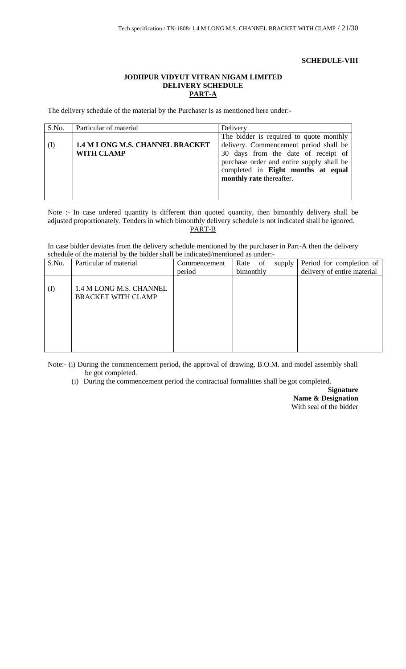## **SCHEDULE-VIII**

## **JODHPUR VIDYUT VITRAN NIGAM LIMITED DELIVERY SCHEDULE PART-A**

The delivery schedule of the material by the Purchaser is as mentioned here under:-

| S.No. | Particular of material                 | Delivery                                  |  |
|-------|----------------------------------------|-------------------------------------------|--|
|       |                                        | The bidder is required to quote monthly   |  |
| (1)   | <b>1.4 M LONG M.S. CHANNEL BRACKET</b> | delivery. Commencement period shall be    |  |
|       | <b>WITH CLAMP</b>                      | 30 days from the date of receipt of       |  |
|       |                                        | purchase order and entire supply shall be |  |
|       |                                        | completed in Eight months at equal        |  |
|       |                                        | monthly rate thereafter.                  |  |
|       |                                        |                                           |  |
|       |                                        |                                           |  |

Note :- In case ordered quantity is different than quoted quantity, then bimonthly delivery shall be adjusted proportionately. Tenders in which bimonthly delivery schedule is not indicated shall be ignored. PART-B

In case bidder deviates from the delivery schedule mentioned by the purchaser in Part-A then the delivery schedule of the material by the bidder shall be indicated/mentioned as under:-

| S.No.    | Particular of material                               | Commencement | Rate<br>of | supply | Period for completion of    |
|----------|------------------------------------------------------|--------------|------------|--------|-----------------------------|
|          |                                                      | period       | bimonthly  |        | delivery of entire material |
| $\rm(D)$ | 1.4 M LONG M.S. CHANNEL<br><b>BRACKET WITH CLAMP</b> |              |            |        |                             |

Note:- (i) During the commencement period, the approval of drawing, B.O.M. and model assembly shall be got completed.

(i) During the commencement period the contractual formalities shall be got completed.

**Signature Name & Designation** With seal of the bidder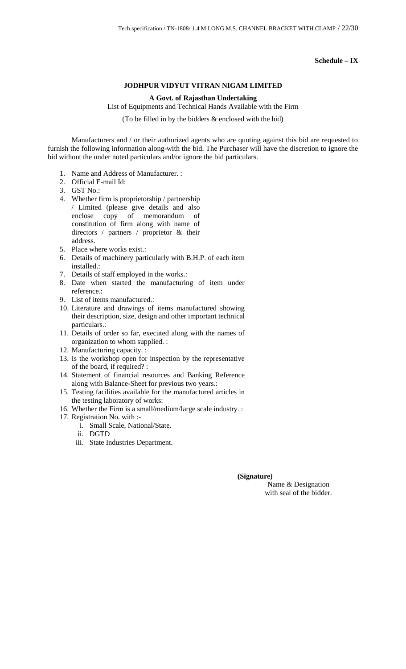**Schedule – IX**

## **JODHPUR VIDYUT VITRAN NIGAM LIMITED**

#### **A Govt. of Rajasthan Undertaking**

List of Equipments and Technical Hands Available with the Firm

(To be filled in by the bidders & enclosed with the bid)

Manufacturers and / or their authorized agents who are quoting against this bid are requested to furnish the following information along-with the bid. The Purchaser will have the discretion to ignore the bid without the under noted particulars and/or ignore the bid particulars.

- 1. Name and Address of Manufacturer. :
- 2. Official E-mail Id:
- 3. GST No.:
- 4. Whether firm is proprietorship / partnership / Limited (please give details and also enclose copy of memorandum of constitution of firm along with name of directors / partners / proprietor & their address.
- 5. Place where works exist.:
- 6. Details of machinery particularly with B.H.P. of each item installed.:
- 7. Details of staff employed in the works.:
- 8. Date when started the manufacturing of item under reference.:
- 9. List of items manufactured.:
- 10. Literature and drawings of items manufactured showing their description, size, design and other important technical particulars.:
- 11. Details of order so far, executed along with the names of organization to whom supplied. :
- 12. Manufacturing capacity. :
- 13. Is the workshop open for inspection by the representative of the board, if required? :
- 14. Statement of financial resources and Banking Reference along with Balance-Sheet for previous two years.:
- 15. Testing facilities available for the manufactured articles in the testing laboratory of works:
- 16. Whether the Firm is a small/medium/large scale industry. :
- 17. Registration No. with :
	- i. Small Scale, National/State.
	- ii. DGTD
	- iii. State Industries Department.

#### **(Signature)**

Name & Designation with seal of the bidder.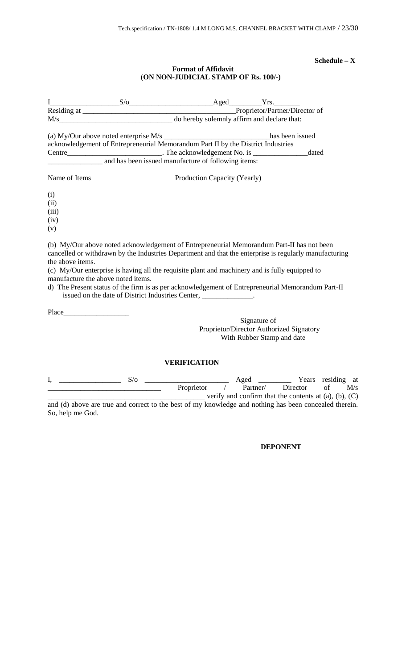#### **Schedule – X**

## **Format of Affidavit** (**ON NON-JUDICIAL STAMP OF Rs. 100/-)**

|                                     | acknowledgement of Entrepreneurial Memorandum Part II by the District Industries                                                                                                                                                                                                                       |                              | dated                                                                                                                                                                                                       |
|-------------------------------------|--------------------------------------------------------------------------------------------------------------------------------------------------------------------------------------------------------------------------------------------------------------------------------------------------------|------------------------------|-------------------------------------------------------------------------------------------------------------------------------------------------------------------------------------------------------------|
| Name of Items                       |                                                                                                                                                                                                                                                                                                        | Production Capacity (Yearly) |                                                                                                                                                                                                             |
| (i)<br>(ii)<br>(iii)<br>(iv)<br>(v) |                                                                                                                                                                                                                                                                                                        |                              |                                                                                                                                                                                                             |
| the above items.                    | (b) My/Our above noted acknowledgement of Entrepreneurial Memorandum Part-II has not been<br>(c) My/Our enterprise is having all the requisite plant and machinery and is fully equipped to<br>manufacture the above noted items.<br>issued on the date of District Industries Center, ______________. |                              | cancelled or withdrawn by the Industries Department and that the enterprise is regularly manufacturing<br>d) The Present status of the firm is as per acknowledgement of Entrepreneurial Memorandum Part-II |
|                                     |                                                                                                                                                                                                                                                                                                        |                              | Signature of<br>Proprietor/Director Authorized Signatory<br>With Rubber Stamp and date                                                                                                                      |

## **VERIFICATION**

| 5/0                                                                                                    |            | Aged     |                                                               | Years residing at |     |
|--------------------------------------------------------------------------------------------------------|------------|----------|---------------------------------------------------------------|-------------------|-----|
|                                                                                                        | Proprietor | Partner/ | Director                                                      |                   | M/s |
|                                                                                                        |            |          | verify and confirm that the contents at $(a)$ , $(b)$ , $(C)$ |                   |     |
| and (d) above are true and correct to the best of my knowledge and nothing has been concealed therein. |            |          |                                                               |                   |     |

and (d) above are true and correct to the best of my knowledge and nothing has been concealed therein. So, help me God.

**DEPONENT**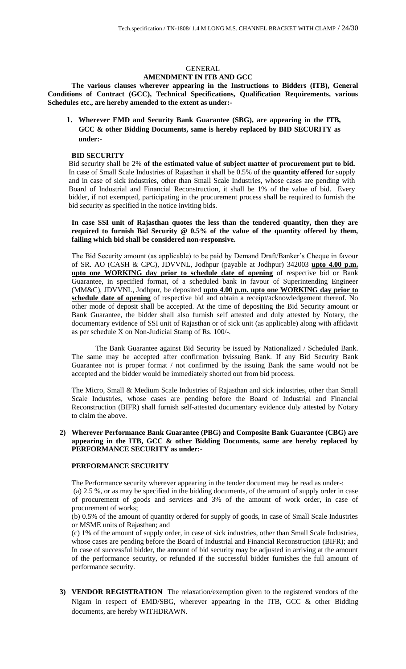#### GENERAL **AMENDMENT IN ITB AND GCC**

**The various clauses wherever appearing in the Instructions to Bidders (ITB), General Conditions of Contract (GCC), Technical Specifications, Qualification Requirements, various Schedules etc., are hereby amended to the extent as under:-**

**1. Wherever EMD and Security Bank Guarantee (SBG), are appearing in the ITB, GCC & other Bidding Documents, same is hereby replaced by BID SECURITY as under:-**

#### **BID SECURITY**

Bid security shall be 2% **of the estimated value of subject matter of procurement put to bid.** In case of Small Scale Industries of Rajasthan it shall be 0.5% of the **quantity offered** for supply and in case of sick industries, other than Small Scale Industries, whose cases are pending with Board of Industrial and Financial Reconstruction, it shall be 1% of the value of bid. Every bidder, if not exempted, participating in the procurement process shall be required to furnish the bid security as specified in the notice inviting bids.

**In case SSI unit of Rajasthan quotes the less than the tendered quantity, then they are required to furnish Bid Security @ 0.5% of the value of the quantity offered by them, failing which bid shall be considered non-responsive.** 

The Bid Security amount (as applicable) to be paid by Demand Draft/Banker's Cheque in favour of SR. AO (CASH & CPC), JDVVNL, Jodhpur (payable at Jodhpur) 342003 **upto 4.00 p.m. upto one WORKING day prior to schedule date of opening** of respective bid or Bank Guarantee, in specified format, of a scheduled bank in favour of Superintending Engineer (MM&C), JDVVNL, Jodhpur, be deposited **upto 4.00 p.m. upto one WORKING day prior to schedule date of opening** of respective bid and obtain a receipt/acknowledgement thereof. No other mode of deposit shall be accepted. At the time of depositing the Bid Security amount or Bank Guarantee, the bidder shall also furnish self attested and duly attested by Notary, the documentary evidence of SSI unit of Rajasthan or of sick unit (as applicable) along with affidavit as per schedule X on Non-Judicial Stamp of Rs. 100/-.

The Bank Guarantee against Bid Security be issued by Nationalized / Scheduled Bank. The same may be accepted after confirmation byissuing Bank. If any Bid Security Bank Guarantee not is proper format / not confirmed by the issuing Bank the same would not be accepted and the bidder would be immediately shorted out from bid process.

The Micro, Small & Medium Scale Industries of Rajasthan and sick industries, other than Small Scale Industries, whose cases are pending before the Board of Industrial and Financial Reconstruction (BIFR) shall furnish self-attested documentary evidence duly attested by Notary to claim the above.

**2) Wherever Performance Bank Guarantee (PBG) and Composite Bank Guarantee (CBG) are appearing in the ITB, GCC & other Bidding Documents, same are hereby replaced by PERFORMANCE SECURITY as under:-**

#### **PERFORMANCE SECURITY**

The Performance security wherever appearing in the tender document may be read as under-:

(a) 2.5 %, or as may be specified in the bidding documents, of the amount of supply order in case of procurement of goods and services and 3% of the amount of work order, in case of procurement of works;

(b) 0.5% of the amount of quantity ordered for supply of goods, in case of Small Scale Industries or MSME units of Rajasthan; and

(c) 1% of the amount of supply order, in case of sick industries, other than Small Scale Industries, whose cases are pending before the Board of Industrial and Financial Reconstruction (BIFR); and In case of successful bidder, the amount of bid security may be adjusted in arriving at the amount of the performance security, or refunded if the successful bidder furnishes the full amount of performance security.

**3) VENDOR REGISTRATION** The relaxation/exemption given to the registered vendors of the Nigam in respect of EMD/SBG, wherever appearing in the ITB, GCC & other Bidding documents, are hereby WITHDRAWN.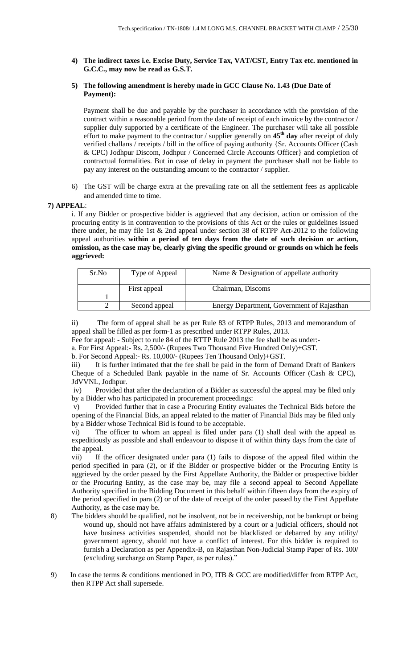**4) The indirect taxes i.e. Excise Duty, Service Tax, VAT/CST, Entry Tax etc. mentioned in G.C.C., may now be read as G.S.T.** 

## **5) The following amendment is hereby made in GCC Clause No. 1.43 (Due Date of Payment):**

Payment shall be due and payable by the purchaser in accordance with the provision of the contract within a reasonable period from the date of receipt of each invoice by the contractor / supplier duly supported by a certificate of the Engineer. The purchaser will take all possible effort to make payment to the contractor / supplier generally on **45th day** after receipt of duly verified challans / receipts / bill in the office of paying authority {Sr. Accounts Officer (Cash & CPC) Jodhpur Discom, Jodhpur / Concerned Circle Accounts Officer} and completion of contractual formalities. But in case of delay in payment the purchaser shall not be liable to pay any interest on the outstanding amount to the contractor / supplier.

6) The GST will be charge extra at the prevailing rate on all the settlement fees as applicable and amended time to time.

## **7) APPEAL**:

i. If any Bidder or prospective bidder is aggrieved that any decision, action or omission of the procuring entity is in contravention to the provisions of this Act or the rules or guidelines issued there under, he may file 1st & 2nd appeal under section 38 of RTPP Act-2012 to the following appeal authorities **within a period of ten days from the date of such decision or action, omission, as the case may be, clearly giving the specific ground or grounds on which he feels aggrieved:** 

| Sr.No | Type of Appeal | Name & Designation of appellate authority  |
|-------|----------------|--------------------------------------------|
|       | First appeal   | Chairman, Discoms                          |
|       |                |                                            |
|       | Second appeal  | Energy Department, Government of Rajasthan |

The form of appeal shall be as per Rule 83 of RTPP Rules, 2013 and memorandum of appeal shall be filled as per form-1 as prescribed under RTPP Rules, 2013.

Fee for appeal: - Subject to rule 84 of the RTTP Rule 2013 the fee shall be as under:-

a. For First Appeal:- Rs. 2,500/- (Rupees Two Thousand Five Hundred Only)+GST.

b. For Second Appeal:- Rs. 10,000/- (Rupees Ten Thousand Only)+GST.

iii) It is further intimated that the fee shall be paid in the form of Demand Draft of Bankers Cheque of a Scheduled Bank payable in the name of Sr. Accounts Officer (Cash & CPC), JdVVNL, Jodhpur.

iv) Provided that after the declaration of a Bidder as successful the appeal may be filed only by a Bidder who has participated in procurement proceedings:

v) Provided further that in case a Procuring Entity evaluates the Technical Bids before the opening of the Financial Bids, an appeal related to the matter of Financial Bids may be filed only by a Bidder whose Technical Bid is found to be acceptable.

vi) The officer to whom an appeal is filed under para (1) shall deal with the appeal as expeditiously as possible and shall endeavour to dispose it of within thirty days from the date of the appeal.

vii) If the officer designated under para (1) fails to dispose of the appeal filed within the period specified in para (2), or if the Bidder or prospective bidder or the Procuring Entity is aggrieved by the order passed by the First Appellate Authority, the Bidder or prospective bidder or the Procuring Entity, as the case may be, may file a second appeal to Second Appellate Authority specified in the Bidding Document in this behalf within fifteen days from the expiry of the period specified in para (2) or of the date of receipt of the order passed by the First Appellate Authority, as the case may be.

- 8) The bidders should be qualified, not be insolvent, not be in receivership, not be bankrupt or being wound up, should not have affairs administered by a court or a judicial officers, should not have business activities suspended, should not be blacklisted or debarred by any utility/ government agency, should not have a conflict of interest. For this bidder is required to furnish a Declaration as per Appendix-B, on Rajasthan Non-Judicial Stamp Paper of Rs. 100/ (excluding surcharge on Stamp Paper, as per rules)."
- 9) In case the terms & conditions mentioned in PO, ITB & GCC are modified/differ from RTPP Act, then RTPP Act shall supersede.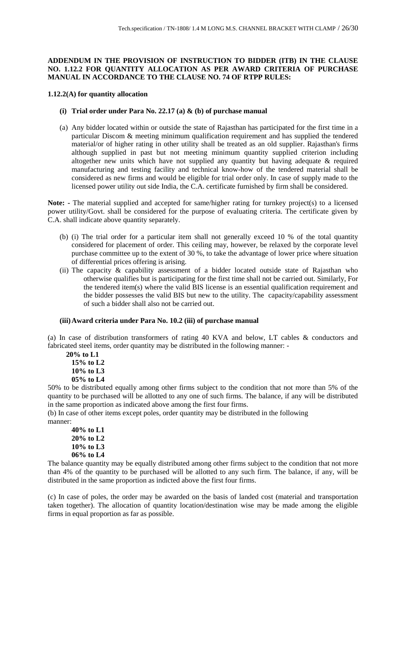## **ADDENDUM IN THE PROVISION OF INSTRUCTION TO BIDDER (ITB) IN THE CLAUSE NO. 1.12.2 FOR QUANTITY ALLOCATION AS PER AWARD CRITERIA OF PURCHASE MANUAL IN ACCORDANCE TO THE CLAUSE NO. 74 OF RTPP RULES:**

#### **1.12.2(A) for quantity allocation**

- **(i) Trial order under Para No. 22.17 (a) & (b) of purchase manual**
- (a) Any bidder located within or outside the state of Rajasthan has participated for the first time in a particular Discom & meeting minimum qualification requirement and has supplied the tendered material/or of higher rating in other utility shall be treated as an old supplier. Rajasthan's firms although supplied in past but not meeting minimum quantity supplied criterion including altogether new units which have not supplied any quantity but having adequate & required manufacturing and testing facility and technical know-how of the tendered material shall be considered as new firms and would be eligible for trial order only. In case of supply made to the licensed power utility out side India, the C.A. certificate furnished by firm shall be considered.

**Note: -** The material supplied and accepted for same/higher rating for turnkey project(s) to a licensed power utility/Govt. shall be considered for the purpose of evaluating criteria. The certificate given by C.A. shall indicate above quantity separately.

- (b) (i) The trial order for a particular item shall not generally exceed 10 % of the total quantity considered for placement of order. This ceiling may, however, be relaxed by the corporate level purchase committee up to the extent of 30 %, to take the advantage of lower price where situation of differential prices offering is arising.
- (ii) The capacity & capability assessment of a bidder located outside state of Rajasthan who otherwise qualifies but is participating for the first time shall not be carried out. Similarly, For the tendered item(s) where the valid BIS license is an essential qualification requirement and the bidder possesses the valid BIS but new to the utility. The capacity/capability assessment of such a bidder shall also not be carried out.

#### **(iii)Award criteria under Para No. 10.2 (iii) of purchase manual**

(a) In case of distribution transformers of rating 40 KVA and below, LT cables & conductors and fabricated steel items, order quantity may be distributed in the following manner: -

 **20% to L1 15% to L2 10% to L3 05% to L4**

50% to be distributed equally among other firms subject to the condition that not more than 5% of the quantity to be purchased will be allotted to any one of such firms. The balance, if any will be distributed in the same proportion as indicated above among the first four firms.

(b) In case of other items except poles, order quantity may be distributed in the following manner:

**40% to L1 20% to L2 10% to L3 06% to L4**

The balance quantity may be equally distributed among other firms subject to the condition that not more than 4% of the quantity to be purchased will be allotted to any such firm. The balance, if any, will be distributed in the same proportion as indicted above the first four firms.

(c) In case of poles, the order may be awarded on the basis of landed cost (material and transportation taken together). The allocation of quantity location/destination wise may be made among the eligible firms in equal proportion as far as possible.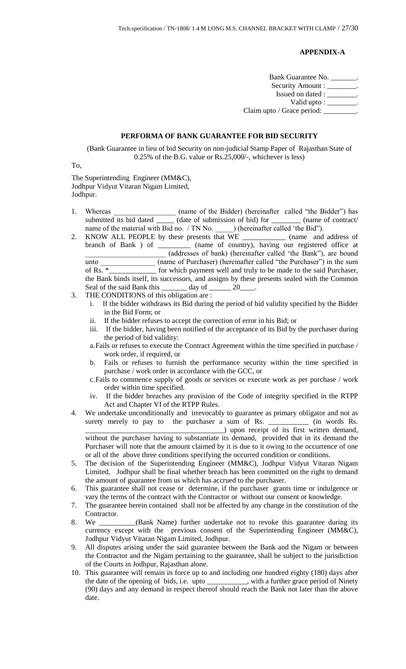## **APPENDIX-A**

Bank Guarantee No. \_\_\_\_\_\_\_. Security Amount : \_\_\_\_\_\_\_. Issued on dated : \_\_\_\_\_\_\_\_. Valid upto : \_\_\_\_\_\_\_\_\_ Claim upto / Grace period:

## **PERFORMA OF BANK GUARANTEE FOR BID SECURITY**

(Bank Guarantee in lieu of bid Security on non-judicial Stamp Paper of Rajasthan State of 0.25% of the B.G. value or Rs.25,000/-, whichever is less)

To,

The Superintending Engineer (MM&C), Jodhpur Vidyut Vitaran Nigam Limited, Jodhpur.

- 1. Whereas \_\_\_\_\_\_\_\_\_\_\_\_\_\_\_\_\_\_\_ (name of the Bidder) (hereinafter called "the Bidder") has submitted its bid dated \_\_\_\_\_ (date of submission of bid) for \_\_\_\_\_\_\_\_ (name of contract/ name of the material with Bid no. / TN No. \_\_\_\_\_\_) (hereinafter called 'the Bid'').
- 2. KNOW ALL PEOPLE by these presents that WE \_\_\_\_\_\_\_\_\_\_\_\_ (name and address of branch of Bank ) of \_\_\_\_\_\_\_\_\_ (name of country), having our registered office at \_\_\_\_\_\_\_\_\_\_\_\_\_\_\_\_\_\_\_\_\_\_ (addresses of bank) (hereinafter called 'the Bank"), are bound unto \_\_\_\_\_\_\_\_\_\_\_\_\_\_\_ (name of Purchaser) (hereinafter called "the Purchaser") in the sum of Rs. \*\_\_\_\_\_\_\_\_\_\_\_\_\_ for which payment well and truly to be made to the said Purchaser, the Bank binds itself, its successors, and assigns by these presents sealed with the Common Seal of the said Bank this \_\_\_\_\_\_\_\_\_ day of \_\_\_\_\_\_\_ 20\_
- 3. THE CONDITIONS of this obligation are :
	- i. If the bidder withdraws its Bid during the period of bid validity specified by the Bidder in the Bid Form; or
	- ii. If the bidder refuses to accept the correction of error in his Bid; or
	- iii. If the bidder, having been notified of the acceptance of its Bid by the purchaser during the period of bid validity:
	- a.Fails or refuses to execute the Contract Agreement within the time specified in purchase / work order, if required, or
	- b. Fails or refuses to furnish the performance security within the time specified in purchase / work order in accordance with the GCC, or
	- c.Fails to commence supply of goods or services or execute work as per purchase / work order within time specified.
	- iv. If the bidder breaches any provision of the Code of integrity specified in the RTPP Act and Chapter VI of the RTPP Rules.
- 4. We undertake unconditionally and irrevocably to guarantee as primary obligator and not as surety merely to pay to the purchaser a sum of Rs. \_\_\_\_\_\_\_\_\_\_\_ (in words Rs. \_\_\_\_\_\_\_\_\_\_\_\_\_\_\_\_\_\_\_\_\_\_\_\_\_\_\_\_\_\_\_\_\_\_\_\_\_\_) upon receipt of its first written demand, without the purchaser having to substantiate its demand, provided that in its demand the Purchaser will note that the amount claimed by it is due to it owing to the occurrence of one
- or all of the above three conditions specifying the occurred condition or conditions. 5. The decision of the Superintending Engineer (MM&C), Jodhpur Vidyut Vitaran Nigam Limited, Jodhpur shall be final whether breach has been committed on the right to demand
- the amount of guarantee from us which has accrued to the purchaser. 6. This guarantee shall not cease or determine, if the purchaser grants time or indulgence or
- vary the terms of the contract with the Contractor or without our consent or knowledge.
- 7. The guarantee herein contained shall not be affected by any change in the constitution of the Contractor.
- 8. We \_\_\_\_\_\_\_\_\_\_(Bank Name) further undertake not to revoke this guarantee during its currency except with the previous consent of the Superintending Engineer (MM&C), Jodhpur Vidyut Vitaran Nigam Limited, Jodhpur.
- 9. All disputes arising under the said guarantee between the Bank and the Nigam or between the Contractor and the Nigam pertaining to the guarantee, shall be subject to the jurisdiction of the Courts in Jodhpur, Rajasthan alone.
- 10. This guarantee will remain in force up to and including one hundred eighty (180) days after the date of the opening of bids, i.e. upto \_\_\_\_\_\_\_\_\_\_\_, with a further grace period of Ninety (90) days and any demand in respect thereof should reach the Bank not later than the above date.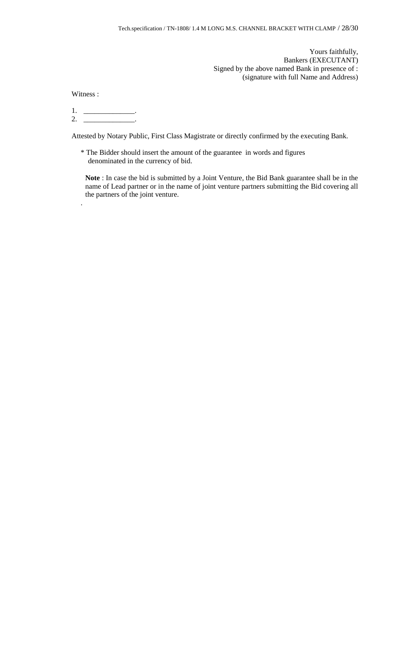Yours faithfully, Bankers (EXECUTANT) Signed by the above named Bank in presence of : (signature with full Name and Address)

Witness :

.

 $1.$  \_\_\_\_\_\_\_\_\_\_\_\_\_\_\_\_\_\_.  $2.$  \_\_\_\_\_\_\_\_\_\_\_\_\_\_\_\_\_\_\_.

Attested by Notary Public, First Class Magistrate or directly confirmed by the executing Bank.

\* The Bidder should insert the amount of the guarantee in words and figures denominated in the currency of bid.

**Note** : In case the bid is submitted by a Joint Venture, the Bid Bank guarantee shall be in the name of Lead partner or in the name of joint venture partners submitting the Bid covering all the partners of the joint venture.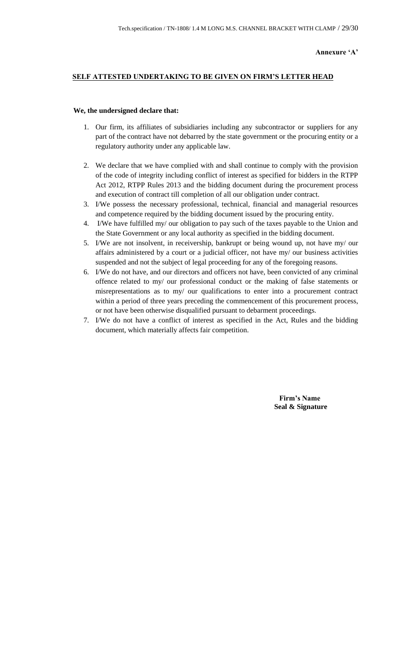## **SELF ATTESTED UNDERTAKING TO BE GIVEN ON FIRM'S LETTER HEAD**

#### **We, the undersigned declare that:**

- 1. Our firm, its affiliates of subsidiaries including any subcontractor or suppliers for any part of the contract have not debarred by the state government or the procuring entity or a regulatory authority under any applicable law.
- 2. We declare that we have complied with and shall continue to comply with the provision of the code of integrity including conflict of interest as specified for bidders in the RTPP Act 2012, RTPP Rules 2013 and the bidding document during the procurement process and execution of contract till completion of all our obligation under contract.
- 3. I/We possess the necessary professional, technical, financial and managerial resources and competence required by the bidding document issued by the procuring entity.
- 4. I/We have fulfilled my/ our obligation to pay such of the taxes payable to the Union and the State Government or any local authority as specified in the bidding document.
- 5. I/We are not insolvent, in receivership, bankrupt or being wound up, not have my/ our affairs administered by a court or a judicial officer, not have my/ our business activities suspended and not the subject of legal proceeding for any of the foregoing reasons.
- 6. I/We do not have, and our directors and officers not have, been convicted of any criminal offence related to my/ our professional conduct or the making of false statements or misrepresentations as to my/ our qualifications to enter into a procurement contract within a period of three years preceding the commencement of this procurement process, or not have been otherwise disqualified pursuant to debarment proceedings.
- 7. I/We do not have a conflict of interest as specified in the Act, Rules and the bidding document, which materially affects fair competition.

 **Firm's Name Seal & Signature**